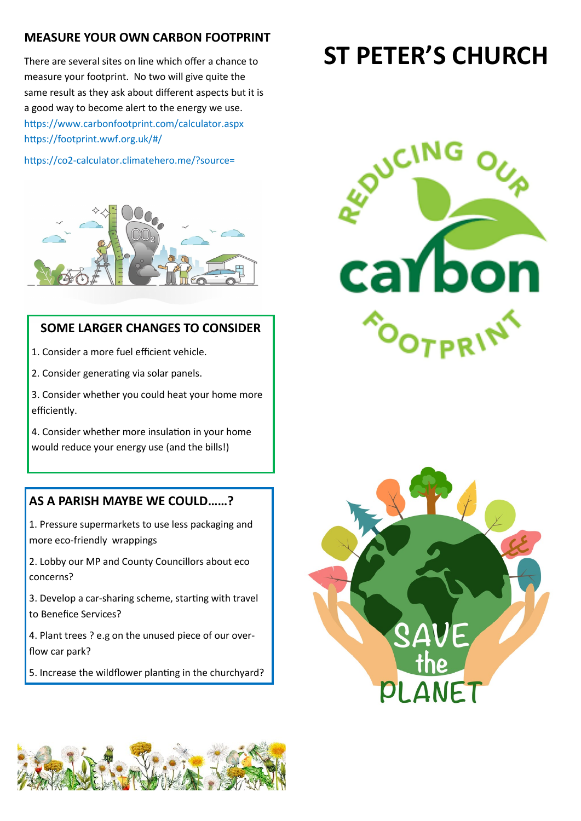# **MEASURE YOUR OWN CARBON FOOTPRINT**

There are several sites on line which offer a chance to measure your footprint. No two will give quite the same result as they ask about different aspects but it is a good way to become alert to the energy we use. https://www.carbonfootprint.com/calculator.aspx https://footprint.wwf.org.uk/#/

https://co2-calculator.climatehero.me/?source=



## **SOME LARGER CHANGES TO CONSIDER**

- 1. Consider a more fuel efficient vehicle.
- 2. Consider generating via solar panels.
- 3. Consider whether you could heat your home more efficiently.
- 4. Consider whether more insulation in your home would reduce your energy use (and the bills!)

# **AS A PARISH MAYBE WE COULD……?**

- 1. Pressure supermarkets to use less packaging and more eco-friendly wrappings
- 2. Lobby our MP and County Councillors about eco concerns?
- 3. Develop a car-sharing scheme, starting with travel to Benefice Services?
- 4. Plant trees ? e.g on the unused piece of our overflow car park?
- 5. Increase the wildflower planting in the churchyard?

# **ST PETER'S CHURCH**